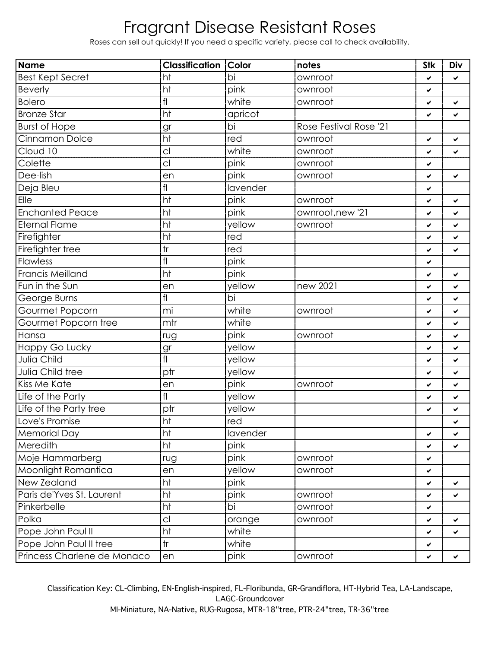## Fragrant Disease Resistant Roses

Roses can sell out quickly! If you need a specific variety, please call to check availability.

| <b>Name</b>                 | <b>Classification</b> | <b>Color</b> | notes                  | <b>Stk</b> | Div |
|-----------------------------|-----------------------|--------------|------------------------|------------|-----|
| <b>Best Kept Secret</b>     | ht                    | bi           | ownroot                | ✔          | ✔   |
| <b>Beverly</b>              | ht                    | pink         | ownroot                | ✔          |     |
| <b>Bolero</b>               | f                     | white        | ownroot                | ✔          | ✔   |
| <b>Bronze Star</b>          | ht                    | apricot      |                        | ✔          | ✔   |
| <b>Burst of Hope</b>        | gr                    | bi           | Rose Festival Rose '21 |            |     |
| Cinnamon Dolce              | ht                    | red          | ownroot                | ✔          | ✔   |
| Cloud 10                    | C                     | white        | ownroot                | ✔          | ✔   |
| Colette                     | C <sub>1</sub>        | pink         | ownroot                | ✓          |     |
| Dee-lish                    | en                    | pink         | ownroot                | ✔          | ✔   |
| Deja Bleu                   | f                     | lavender     |                        | ✓          |     |
| Elle                        | ht                    | pink         | ownroot                | ✔          | ✔   |
| <b>Enchanted Peace</b>      | ht                    | pink         | ownroot, new '21       | ✓          | ✔   |
| <b>Eternal Flame</b>        | ht                    | yellow       | ownroot                | ✔          | ✔   |
| Firefighter                 | ht                    | red          |                        | ✓          | ✔   |
| Firefighter tree            | tr                    | red          |                        | ✔          | ✓   |
| Flawless                    | f                     | pink         |                        | ✓          |     |
| <b>Francis Meilland</b>     | ht                    | pink         |                        | ✔          | ✔   |
| Fun in the Sun              | en                    | yellow       | new 2021               | ✔          | ✔   |
| George Burns                | fl                    | bi           |                        | ✔          | ✔   |
| Gourmet Popcorn             | mi                    | white        | ownroot                | ✓          | ✔   |
| Gourmet Popcorn tree        | mtr                   | white        |                        | ✔          | ✔   |
| Hansa                       | rug                   | pink         | ownroot                | ✔          | ✔   |
| Happy Go Lucky              | gr                    | yellow       |                        | ✔          | ✔   |
| Julia Child                 | f <sub>l</sub>        | yellow       |                        | ✓          | ✔   |
| Julia Child tree            | ptr                   | yellow       |                        | ✔          | ✔   |
| Kiss Me Kate                | en                    | pink         | ownroot                | ✓          | ✔   |
| Life of the Party           | f                     | yellow       |                        | ✔          | ✔   |
| Life of the Party tree      | ptr                   | yellow       |                        | ✓          | ✔   |
| Love's Promise              | ht                    | red          |                        |            | ✔   |
| Memorial Day                | ht                    | lavender     |                        | ✔          | V   |
| Meredith                    | ht                    | pink         |                        | ✔          | ✔   |
| Moje Hammarberg             | rug                   | pink         | ownroot                | ✓          |     |
| Moonlight Romantica         | en                    | yellow       | ownroot                | ✔          |     |
| New Zealand                 | ht                    | pink         |                        | ✓          | ✔   |
| Paris de'Yves St. Laurent   | ht                    | pink         | ownroot                | ✓          | ✔   |
| Pinkerbelle                 | ht                    | bi           | ownroot                | ✓          |     |
| Polka                       | C                     | orange       | ownroot                | ✓          | ✔   |
| Pope John Paul II           | ht                    | white        |                        | ✓          | ✔   |
| Pope John Paul II tree      | tr                    | white        |                        | ✔          |     |
| Princess Charlene de Monaco | en                    | pink         | ownroot                | ✓          | ✔   |

Classification Key: CL-Climbing, EN-English-inspired, FL-Floribunda, GR-Grandiflora, HT-Hybrid Tea, LA-Landscape, LAGC-Groundcover MI-Miniature, NA-Native, RUG-Rugosa, MTR-18"tree, PTR-24"tree, TR-36"tree